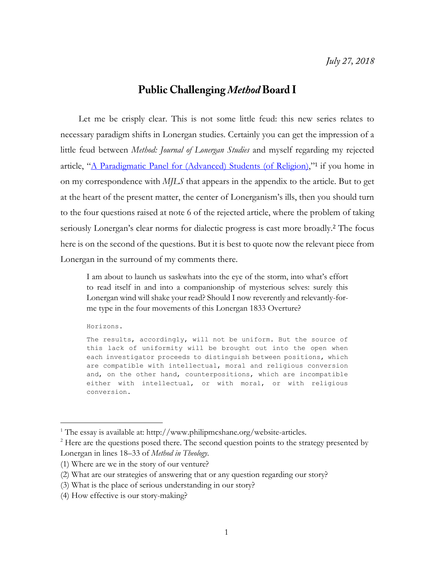## **Public Challenging Method Board I**

Let me be crisply clear. This is not some little feud: this new series relates to necessary paradigm shifts in Lonergan studies. Certainly you can get the impression of a little feud between *Method: Journal of Lonergan Studies* and myself regarding my rejected article, "[A Paradigmatic Panel for \(Advanced\) Students \(of](http://www.philipmcshane.org/wp-content/themes/philip/online_publications/articles/A%20Paradigmatic%20Panel_final%20with%20appendix.pdf) Religion),"<sup>1</sup> if you home in on my correspondence with *MJLS* that appears in the appendix to the article. But to get at the heart of the present matter, the center of Lonerganism's ills, then you should turn to the four questions raised at note 6 of the rejected article, where the problem of taking seriously Lonergan's clear norms for dialectic progress is cast more broadly. <sup>2</sup> The focus here is on the second of the questions. But it is best to quote now the relevant piece from Lonergan in the surround of my comments there.

I am about to launch us saskwhats into the eye of the storm, into what's effort to read itself in and into a companionship of mysterious selves: surely this Lonergan wind will shake your read? Should I now reverently and relevantly-forme type in the four movements of this Lonergan 1833 Overture?

Horizons.

 $\overline{a}$ 

The results, accordingly, will not be uniform. But the source of this lack of uniformity will be brought out into the open when each investigator proceeds to distinguish between positions, which are compatible with intellectual, moral and religious conversion and, on the other hand, counterpositions, which are incompatible either with intellectual, or with moral, or with religious conversion.

<sup>&</sup>lt;sup>1</sup> The essay is available at: http://www.philipmcshane.org/website-articles.

<sup>&</sup>lt;sup>2</sup> Here are the questions posed there. The second question points to the strategy presented by Lonergan in lines 18–33 of *Method in Theology*.

<sup>(1)</sup> Where are we in the story of our venture?

<sup>(2)</sup> What are our strategies of answering that or any question regarding our story?

<sup>(3)</sup> What is the place of serious understanding in our story?

<sup>(4)</sup> How effective is our story-making?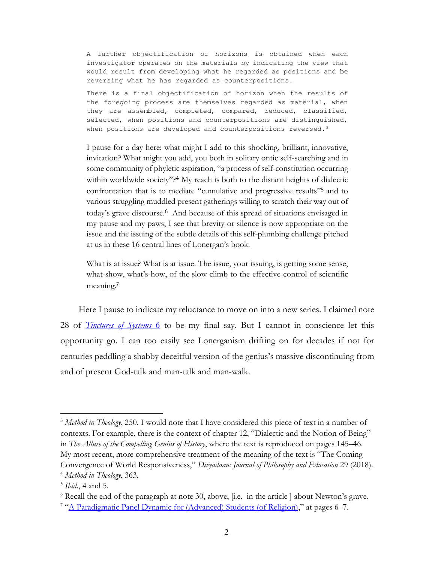A further objectification of horizons is obtained when each investigator operates on the materials by indicating the view that would result from developing what he regarded as positions and be reversing what he has regarded as counterpositions.

There is a final objectification of horizon when the results of the foregoing process are themselves regarded as material, when they are assembled, completed, compared, reduced, classified, selected, when positions and counterpositions are distinguished, when positions are developed and counterpositions reversed.<sup>3</sup>

I pause for a day here: what might I add to this shocking, brilliant, innovative, invitation? What might you add, you both in solitary ontic self-searching and in some community of phyletic aspiration, "a process of self-constitution occurring within worldwide society"?<sup>4</sup> My reach is both to the distant heights of dialectic confrontation that is to mediate "cumulative and progressive results" <sup>5</sup> and to various struggling muddled present gatherings willing to scratch their way out of today's grave discourse. <sup>6</sup> And because of this spread of situations envisaged in my pause and my paws, I see that brevity or silence is now appropriate on the issue and the issuing of the subtle details of this self-plumbing challenge pitched at us in these 16 central lines of Lonergan's book.

What is at issue? What is at issue. The issue, your issuing, is getting some sense, what-show, what's-how, of the slow climb to the effective control of scientific meaning.<sup>7</sup>

Here I pause to indicate my reluctance to move on into a new series. I claimed note 28 of *[Tinctures of Systems](http://www.philipmcshane.org/wp-content/themes/philip/online_publications/series/tinctures/Tinctures%206.pdf)* 6 to be my final say. But I cannot in conscience let this opportunity go. I can too easily see Lonerganism drifting on for decades if not for centuries peddling a shabby deceitful version of the genius's massive discontinuing from and of present God-talk and man-talk and man-walk.

 $\overline{a}$ 

<sup>3</sup> *Method in Theology*, 250. I would note that I have considered this piece of text in a number of contexts. For example, there is the context of chapter 12, "Dialectic and the Notion of Being" in *The Allure of the Compelling Genius of History*, where the text is reproduced on pages 145–46. My most recent, more comprehensive treatment of the meaning of the text is "The Coming Convergence of World Responsiveness," *Divyadaan: Journal of Philosophy and Education* 29 (2018). <sup>4</sup> *Method in Theology*, 363.

<sup>5</sup> *Ibid*., 4 and 5.

 $6$  Recall the end of the paragraph at note 30, above, [i.e. in the article ] about Newton's grave.

<sup>&</sup>lt;sup>7</sup> "[A Paradigmatic Panel Dynamic for \(Advanced\) Students \(of Religion\)](http://www.philipmcshane.org/wp-content/themes/philip/online_publications/articles/A%20Paradigmatic%20Panel_final%20with%20appendix.pdf)," at pages 6-7.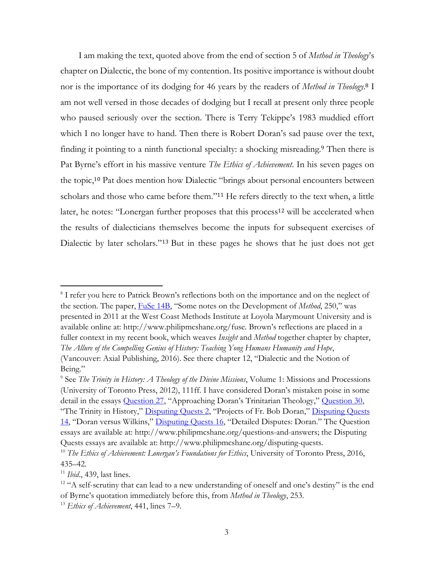I am making the text, quoted above from the end of section 5 of *Method in Theology*'s chapter on Dialectic, the bone of my contention. Its positive importance is without doubt nor is the importance of its dodging for 46 years by the readers of *Method in Theology*. <sup>8</sup> I am not well versed in those decades of dodging but I recall at present only three people who paused seriously over the section. There is Terry Tekippe's 1983 muddied effort which I no longer have to hand. Then there is Robert Doran's sad pause over the text, finding it pointing to a ninth functional specialty: a shocking misreading.<sup>9</sup> Then there is Pat Byrne's effort in his massive venture *The Ethics of Achievement*. In his seven pages on the topic, <sup>10</sup> Pat does mention how Dialectic "brings about personal encounters between scholars and those who came before them."<sup>11</sup> He refers directly to the text when, a little later, he notes: "Lonergan further proposes that this process<sup>12</sup> will be accelerated when the results of dialecticians themselves become the inputs for subsequent exercises of Dialectic by later scholars."<sup>13</sup> But in these pages he shows that he just does not get

 $\overline{a}$ 

<sup>&</sup>lt;sup>8</sup> I refer you here to Patrick Brown's reflections both on the importance and on the neglect of the section. The paper, [FuSe 14B](http://www.philipmcshane.org/wp-content/themes/philip/online_publications/series/fuse/fuse-14b.pdf), "Some notes on the Development of *Method*, 250," was presented in 2011 at the West Coast Methods Institute at Loyola Marymount University and is available online at: http://www.philipmcshane.org/fuse. Brown's reflections are placed in a fuller context in my recent book, which weaves *Insight* and *Method* together chapter by chapter, *The Allure of the Compelling Genius of History: Teaching Yong Humans Humanity and Hope*, (Vancouver: Axial Publishing, 2016). See there chapter 12, "Dialectic and the Notion of Being."

<sup>9</sup> See *The Trinity in History: A Theology of the Divine Missions*, Volume 1: Missions and Processions (University of Toronto Press, 2012), 111ff. I have considered Doran's mistaken poise in some detail in the essays **Question 27**, "Approaching Doran's Trinitarian Theology," **Question 30**, "The Trinity in History," [Disputing Quests 2](http://www.philipmcshane.org/wp-content/themes/philip/online_publications/series/disputing%20quests/Disputing%20Quests%202_Projects%20of%20Fr.%20Bob%20Doran.pdf), "Projects of Fr. Bob Doran," [Disputing Quests](http://www.philipmcshane.org/wp-content/themes/philip/online_publications/series/disputing%20quests/DQ%2014_Doran%20Versus%20Wilkins.pdf) 

[<sup>14</sup>](http://www.philipmcshane.org/wp-content/themes/philip/online_publications/series/disputing%20quests/DQ%2014_Doran%20Versus%20Wilkins.pdf), "Doran versus Wilkins," [Disputing Quests 16](http://www.philipmcshane.org/wp-content/themes/philip/online_publications/series/disputing%20quests/DQ%2016_Detailed%20Disputes_Doran.pdf), "Detailed Disputes: Doran." The Question essays are available at: http://www.philipmcshane.org/questions-and-answers; the Disputing Quests essays are available at: http://www.philipmcshane.org/disputing-quests.

<sup>10</sup> *The Ethics of Achievement: Lonergan's Foundations for Ethics*, University of Toronto Press, 2016, 435–42.

<sup>11</sup> *Ibid*., 439, last lines.

<sup>&</sup>lt;sup>12</sup> "A self-scrutiny that can lead to a new understanding of oneself and one's destiny" is the end of Byrne's quotation immediately before this, from *Method in Theology*, 253.

<sup>13</sup> *Ethics of Achievement*, 441, lines 7–9.